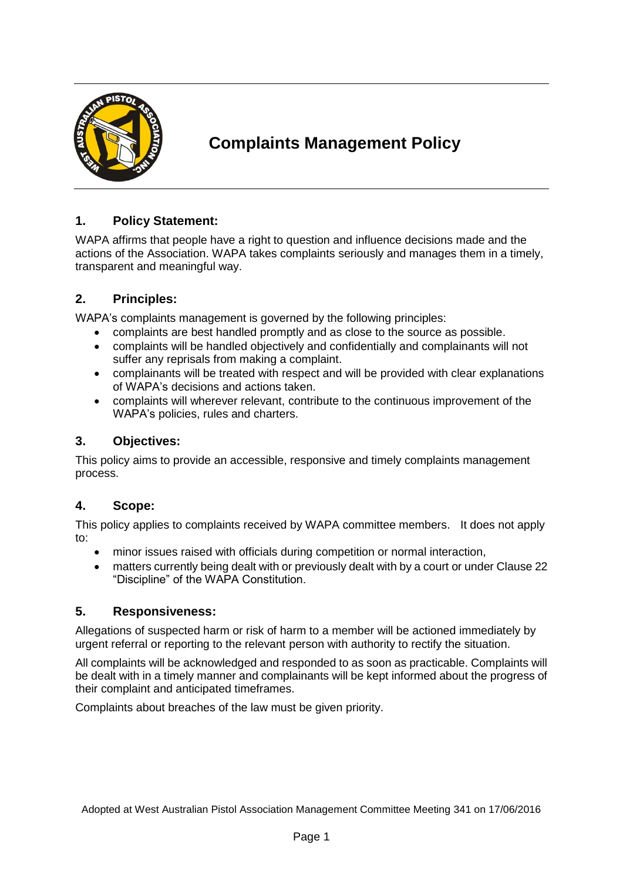

# **Complaints Management Policy**

## **1. Policy Statement:**

WAPA affirms that people have a right to question and influence decisions made and the actions of the Association. WAPA takes complaints seriously and manages them in a timely, transparent and meaningful way.

## **2. Principles:**

WAPA's complaints management is governed by the following principles:

- complaints are best handled promptly and as close to the source as possible.
- complaints will be handled objectively and confidentially and complainants will not suffer any reprisals from making a complaint.
- complainants will be treated with respect and will be provided with clear explanations of WAPA's decisions and actions taken.
- complaints will wherever relevant, contribute to the continuous improvement of the WAPA's policies, rules and charters.

## **3. Objectives:**

This policy aims to provide an accessible, responsive and timely complaints management process.

#### **4. Scope:**

This policy applies to complaints received by WAPA committee members. It does not apply to:

- minor issues raised with officials during competition or normal interaction,
- matters currently being dealt with or previously dealt with by a court or under Clause 22 "Discipline" of the WAPA Constitution.

#### **5. Responsiveness:**

Allegations of suspected harm or risk of harm to a member will be actioned immediately by urgent referral or reporting to the relevant person with authority to rectify the situation.

All complaints will be acknowledged and responded to as soon as practicable. Complaints will be dealt with in a timely manner and complainants will be kept informed about the progress of their complaint and anticipated timeframes.

Complaints about breaches of the law must be given priority.